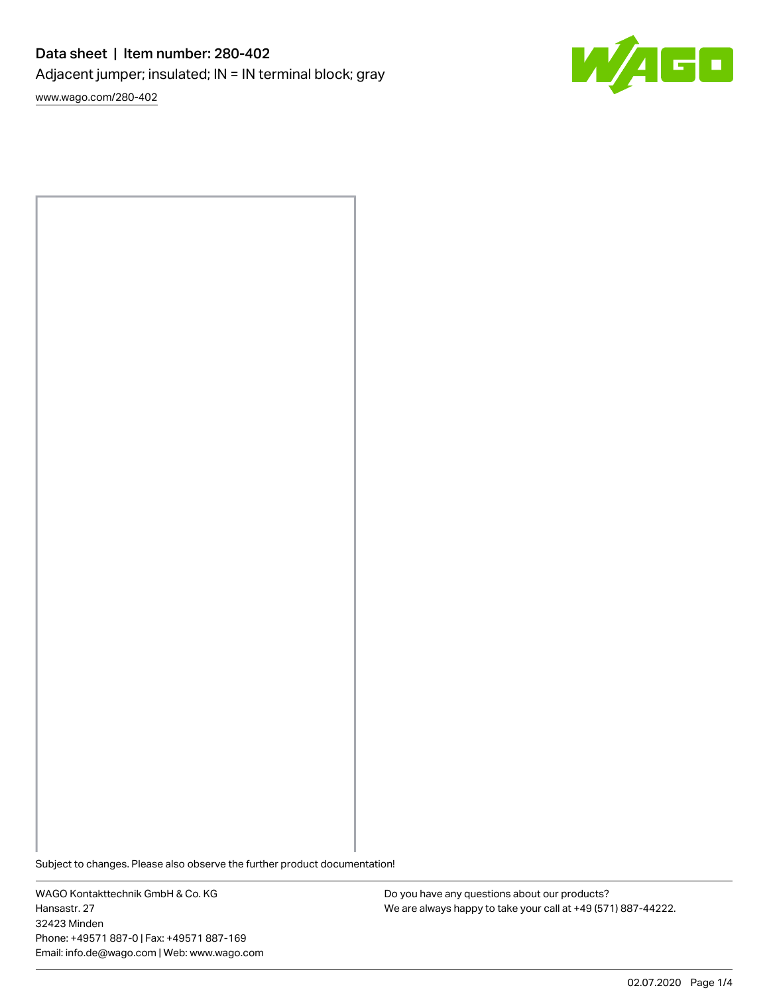# Data sheet | Item number: 280-402 Adjacent jumper; insulated; IN = IN terminal block; gray

[www.wago.com/280-402](http://www.wago.com/280-402)



Subject to changes. Please also observe the further product documentation!

WAGO Kontakttechnik GmbH & Co. KG Hansastr. 27 32423 Minden Phone: +49571 887-0 | Fax: +49571 887-169 Email: info.de@wago.com | Web: www.wago.com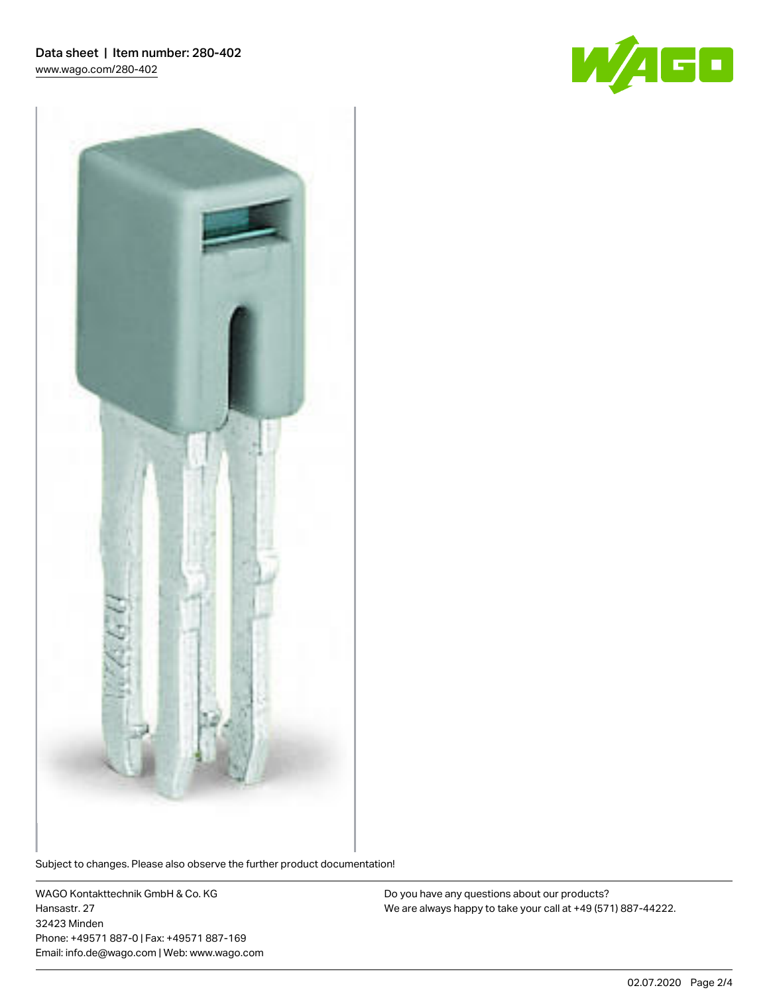



Subject to changes. Please also observe the further product documentation!

WAGO Kontakttechnik GmbH & Co. KG Hansastr. 27 32423 Minden Phone: +49571 887-0 | Fax: +49571 887-169 Email: info.de@wago.com | Web: www.wago.com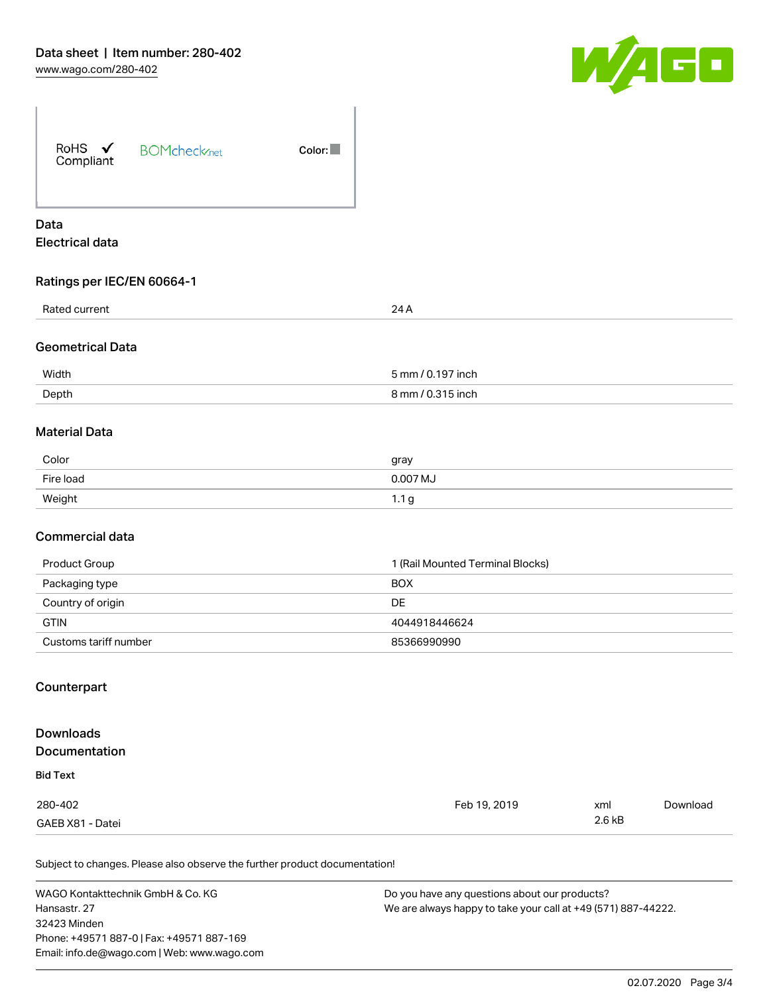

| RoHS $\checkmark$<br>Compliant | <b>BOMcheck</b> <sub>net</sub> | Color: |
|--------------------------------|--------------------------------|--------|
| Data                           |                                |        |

# Electrical data

# Ratings per IEC/EN 60664-1

| Rated current           | 24 A              |
|-------------------------|-------------------|
|                         |                   |
| <b>Geometrical Data</b> |                   |
| Width                   | 5 mm / 0.197 inch |
| Depth                   | 8 mm / 0.315 inch |
|                         |                   |
| <b>Material Data</b>    |                   |
| Color                   | gray              |
| Fire load               | 0.007 MJ          |

#### Commercial data

| Product Group         | 1 (Rail Mounted Terminal Blocks) |
|-----------------------|----------------------------------|
| Packaging type        | <b>BOX</b>                       |
| Country of origin     | DE.                              |
| <b>GTIN</b>           | 4044918446624                    |
| Customs tariff number | 85366990990                      |

# Counterpart

## **Downloads** Documentation Bid Text 280-402 GAEB X81 - Datei Feb 19, 2019 xml 2.6 kB [Download](https://www.wago.com/de/d/2258092)

Subject to changes. Please also observe the further product documentation!

Weight 1.1 g

WAGO Kontakttechnik GmbH & Co. KG Hansastr. 27 32423 Minden Phone: +49571 887-0 | Fax: +49571 887-169 Email: info.de@wago.com | Web: www.wago.com